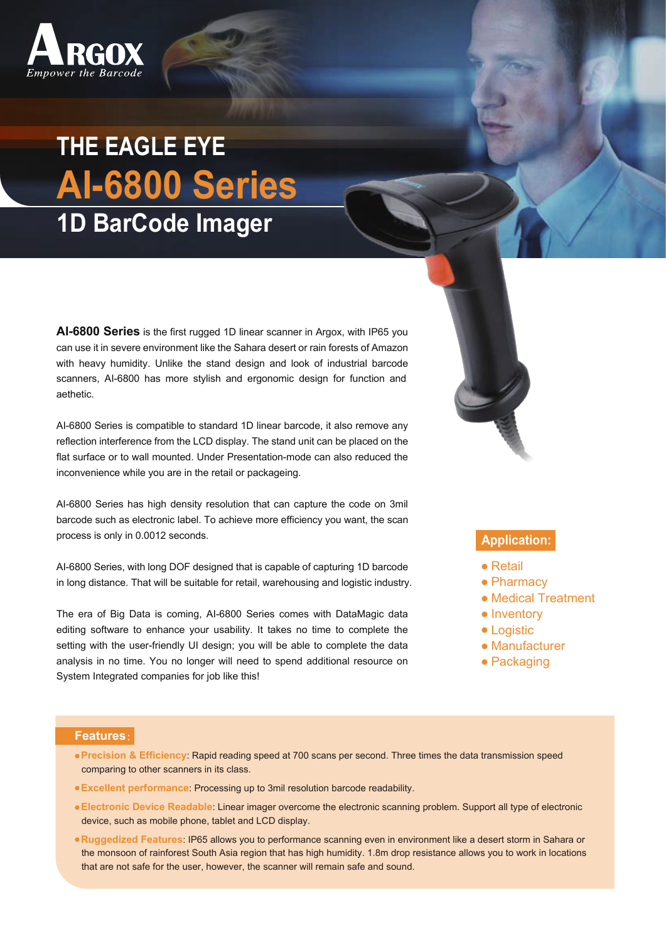

## **THE EAGLE EYE AI-6800 Series 1D BarCode Imager**

**AI-6800 Series** is the first rugged 1D linear scanner in Argox, with IP65 you can use it in severe environment like the Sahara desert or rain forests of Amazon with heavy humidity. Unlike the stand design and look of industrial barcode scanners, AI-6800 has more stylish and ergonomic design for function and aethetic.

AI-6800 Series is compatible to standard 1D linear barcode, it also remove any reflection interference from the LCD display. The stand unit can be placed on the flat surface or to wall mounted. Under Presentation-mode can also reduced the inconvenience while you are in the retail or packageing.

AI-6800 Series has high density resolution that can capture the code on 3mil barcode such as electronic label. To achieve more efficiency you want, the scan process is only in 0.0012 seconds.

AI-6800 Series, with long DOF designed that is capable of capturing 1D barcode in long distance. That will be suitable for retail, warehousing and logistic industry.

The era of Big Data is coming, AI-6800 Series comes with DataMagic data editing software to enhance your usability. It takes no time to complete the setting with the user-friendly UI design; you will be able to complete the data analysis in no time. You no longer will need to spend additional resource on System Integrated companies for job like this!



## **Application:**

- Retail
- Pharmacy
- Medical Treatment
- Inventory
- Logistic
- Manufacturer
- Packaging

## **Features:**

- **Precision & Efficiency**: Rapid reading speed at 700 scans per second. Three times the data transmission speed comparing to other scanners in its class.
- **Excellent performance**: Processing up to 3mil resolution barcode readability.
- **Electronic Device Readable**: Linear imager overcome the electronic scanning problem. Support all type of electronic device, such as mobile phone, tablet and LCD display.
- **Ruggedized Features**: IP65 allows you to performance scanning even in environment like a desert storm in Sahara or the monsoon of rainforest South Asia region that has high humidity. 1.8m drop resistance allows you to work in locations that are not safe for the user, however, the scanner will remain safe and sound.